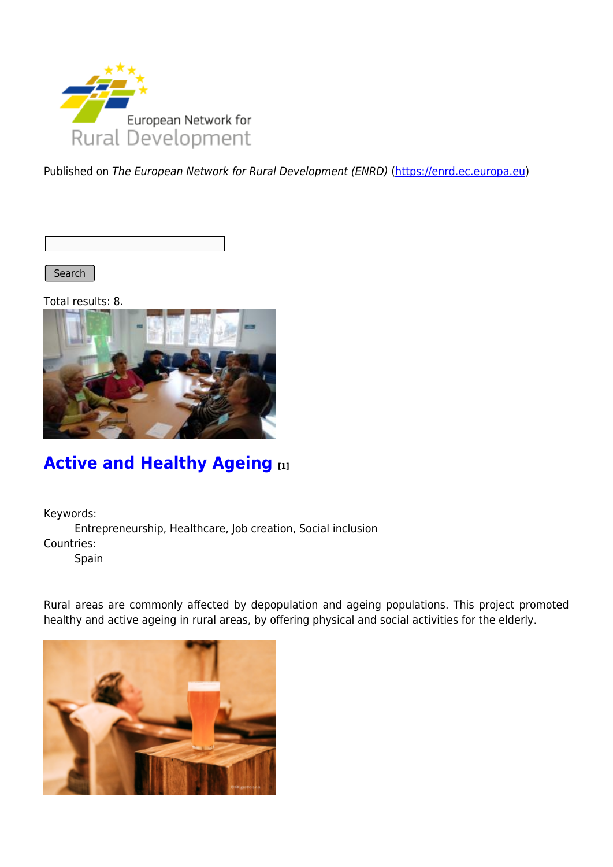

Published on The European Network for Rural Development (ENRD) [\(https://enrd.ec.europa.eu](https://enrd.ec.europa.eu))

Search |

Total results: 8.



## **[Active and Healthy Ageing](https://enrd.ec.europa.eu/projects-practice/active-and-healthy-ageing_en) [1]**

Keywords:

Entrepreneurship, Healthcare, Job creation, Social inclusion Countries:

Spain

Rural areas are commonly affected by depopulation and ageing populations. This project promoted healthy and active ageing in rural areas, by offering physical and social activities for the elderly.

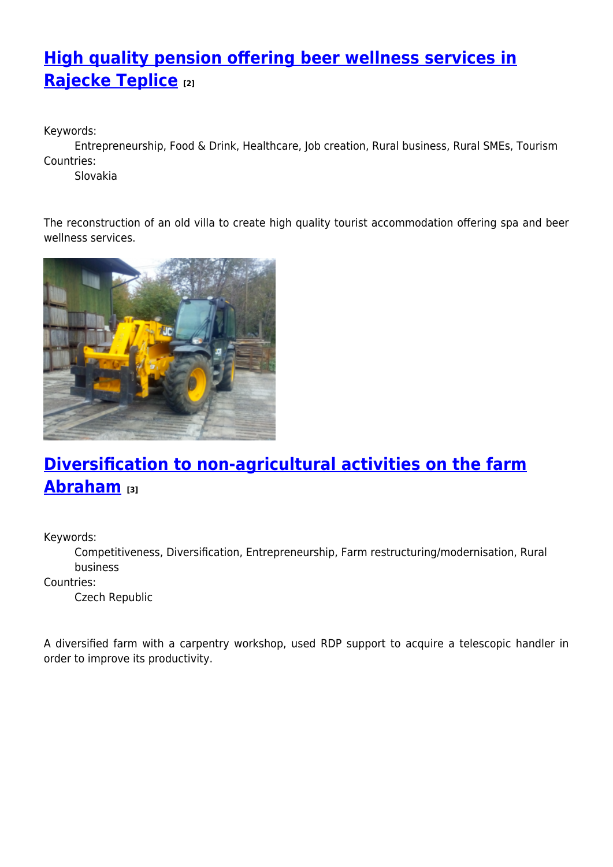# **[High quality pension offering beer wellness services in](https://enrd.ec.europa.eu/projects-practice/high-quality-pension-offering-beer-wellness-services-rajecke-teplice_en) [Rajecke Teplice](https://enrd.ec.europa.eu/projects-practice/high-quality-pension-offering-beer-wellness-services-rajecke-teplice_en) [2]**

Keywords:

Entrepreneurship, Food & Drink, Healthcare, Job creation, Rural business, Rural SMEs, Tourism Countries:

Slovakia

The reconstruction of an old villa to create high quality tourist accommodation offering spa and beer wellness services.



# **[Diversification to non-agricultural activities on the farm](https://enrd.ec.europa.eu/projects-practice/diversification-non-agricultural-activities-farm-abraham_en) [Abraham](https://enrd.ec.europa.eu/projects-practice/diversification-non-agricultural-activities-farm-abraham_en) [3]**

Keywords:

Competitiveness, Diversification, Entrepreneurship, Farm restructuring/modernisation, Rural business

Countries:

Czech Republic

A diversified farm with a carpentry workshop, used RDP support to acquire a telescopic handler in order to improve its productivity.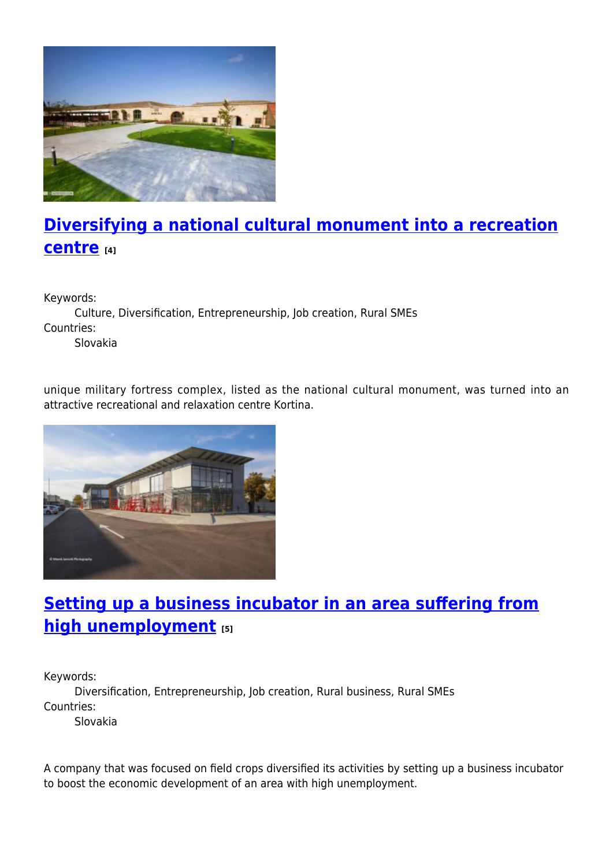

# **[Diversifying a national cultural monument into a recreation](https://enrd.ec.europa.eu/projects-practice/diversifying-national-cultural-monument-recreation-centre_en) [centre](https://enrd.ec.europa.eu/projects-practice/diversifying-national-cultural-monument-recreation-centre_en) [4]**

Keywords:

Culture, Diversification, Entrepreneurship, Job creation, Rural SMEs Countries:

Slovakia

unique military fortress complex, listed as the national cultural monument, was turned into an attractive recreational and relaxation centre Kortina.



### **[Setting up a business incubator in an area suffering from](https://enrd.ec.europa.eu/projects-practice/setting-business-incubator-area-suffering-high-unemployment_en) [high unemployment](https://enrd.ec.europa.eu/projects-practice/setting-business-incubator-area-suffering-high-unemployment_en) [5]**

Keywords:

Diversification, Entrepreneurship, Job creation, Rural business, Rural SMEs Countries:

Slovakia

A company that was focused on field crops diversified its activities by setting up a business incubator to boost the economic development of an area with high unemployment.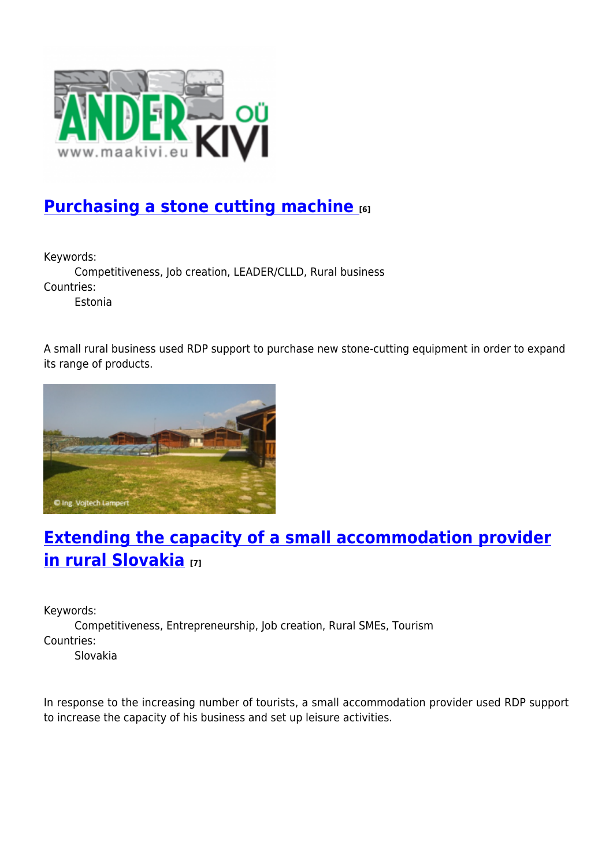

### **[Purchasing a stone cutting machine](https://enrd.ec.europa.eu/projects-practice/purchasing-stone-cutting-machine_en) [6]**

Keywords:

Competitiveness, Job creation, LEADER/CLLD, Rural business Countries:

Estonia

A small rural business used RDP support to purchase new stone-cutting equipment in order to expand its range of products.



# **[Extending the capacity of a small accommodation provider](https://enrd.ec.europa.eu/projects-practice/extending-capacity-small-accommodation-provider-rural-slovakia_en) [in rural Slovakia](https://enrd.ec.europa.eu/projects-practice/extending-capacity-small-accommodation-provider-rural-slovakia_en) [7]**

Keywords:

Competitiveness, Entrepreneurship, Job creation, Rural SMEs, Tourism Countries:

Slovakia

In response to the increasing number of tourists, a small accommodation provider used RDP support to increase the capacity of his business and set up leisure activities.